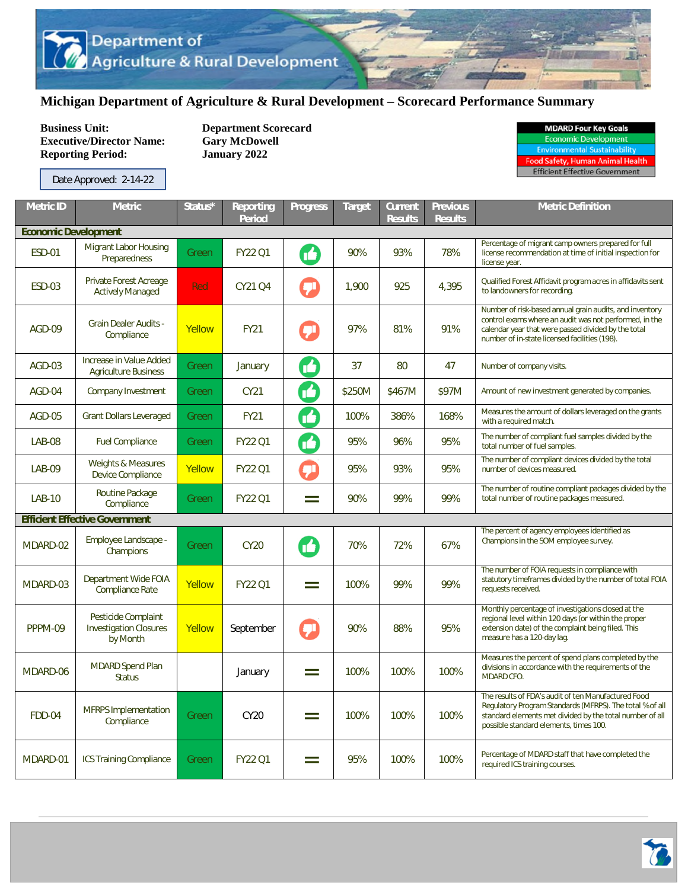## **Michigan Department of Agriculture & Rural Development – Scorecard Performance Summary**

**Business Unit:** Department Scorecard<br> **Executive/Director Name:** Gary McDowell **Executive/Director Name: Reporting Period: January 2022** 

| <b>MDARD Four Key Goals</b>         |  |  |  |  |  |  |
|-------------------------------------|--|--|--|--|--|--|
| <b>Economic Development</b>         |  |  |  |  |  |  |
| <b>Environmental Sustainability</b> |  |  |  |  |  |  |
| ood Safety, Human Animal Health     |  |  |  |  |  |  |

**Efficient Effective Government** 

Date Approved: 2-14-22

| <b>Metric ID</b>            | Metric                                                           | Status* | <b>Reporting</b><br><b>Period</b> | <b>Progress</b> | <b>Target</b> | Current<br><b>Results</b> | <b>Previous</b><br><b>Results</b> | <b>Metric Definition</b>                                                                                                                                                                                                  |  |  |  |
|-----------------------------|------------------------------------------------------------------|---------|-----------------------------------|-----------------|---------------|---------------------------|-----------------------------------|---------------------------------------------------------------------------------------------------------------------------------------------------------------------------------------------------------------------------|--|--|--|
| <b>Economic Development</b> |                                                                  |         |                                   |                 |               |                           |                                   |                                                                                                                                                                                                                           |  |  |  |
| <b>ESD-01</b>               | <b>Migrant Labor Housing</b><br>Preparedness                     | Green   | FY22 Q1                           | H               | 90%           | 93%                       | 78%                               | Percentage of migrant camp owners prepared for full<br>license recommendation at time of initial inspection for<br>license year.                                                                                          |  |  |  |
| <b>ESD-03</b>               | Private Forest Acreage<br><b>Actively Managed</b>                | Red     | CY21 Q4                           |                 | 1,900         | 925                       | 4,395                             | Qualified Forest Affidavit program acres in affidavits sent<br>to landowners for recording.                                                                                                                               |  |  |  |
| AGD-09                      | <b>Grain Dealer Audits -</b><br>Compliance                       | Yellow  | <b>FY21</b>                       | T١              | 97%           | 81%                       | 91%                               | Number of risk-based annual grain audits, and inventory<br>control exams where an audit was not performed, in the<br>calendar year that were passed divided by the total<br>number of in-state licensed facilities (198). |  |  |  |
| AGD-03                      | Increase in Value Added<br><b>Agriculture Business</b>           | Green   | January                           | M               | 37            | 80                        | 47                                | Number of company visits.                                                                                                                                                                                                 |  |  |  |
| AGD-04                      | Company Investment                                               | Green   | CY21                              | M               | \$250M        | \$467M                    | \$97M                             | Amount of new investment generated by companies.                                                                                                                                                                          |  |  |  |
| <b>AGD-05</b>               | <b>Grant Dollars Leveraged</b>                                   | Green   | <b>FY21</b>                       | M               | 100%          | 386%                      | 168%                              | Measures the amount of dollars leveraged on the grants<br>with a required match.                                                                                                                                          |  |  |  |
| <b>LAB-08</b>               | <b>Fuel Compliance</b>                                           | Green   | <b>FY22 Q1</b>                    | ß               | 95%           | 96%                       | 95%                               | The number of compliant fuel samples divided by the<br>total number of fuel samples.                                                                                                                                      |  |  |  |
| <b>LAB-09</b>               | <b>Weights &amp; Measures</b><br>Device Compliance               | Yellow  | FY22 Q1                           | Ţ               | 95%           | 93%                       | 95%                               | The number of compliant devices divided by the total<br>number of devices measured.                                                                                                                                       |  |  |  |
| <b>LAB-10</b>               | Routine Package<br>Compliance                                    | Green   | <b>FY22 Q1</b>                    | $=$             | 90%           | 99%                       | 99%                               | The number of routine compliant packages divided by the<br>total number of routine packages measured.                                                                                                                     |  |  |  |
|                             | <b>Efficient Effective Government</b>                            |         |                                   |                 |               |                           |                                   |                                                                                                                                                                                                                           |  |  |  |
| MDARD-02                    | Employee Landscape -<br>Champions                                | Green   | <b>CY20</b>                       | M               | 70%           | 72%                       | 67%                               | The percent of agency employees identified as<br>Champions in the SOM employee survey.                                                                                                                                    |  |  |  |
| MDARD-03                    | Department Wide FOIA<br><b>Compliance Rate</b>                   | Yellow  | <b>FY22 Q1</b>                    | $=$             | 100%          | 99%                       | 99%                               | The number of FOIA requests in compliance with<br>statutory timeframes divided by the number of total FOIA<br>requests received.                                                                                          |  |  |  |
| PPPM-09                     | Pesticide Complaint<br><b>Investigation Closures</b><br>by Month | Yellow  | September                         |                 | 90%           | 88%                       | 95%                               | Monthly percentage of investigations closed at the<br>regional level within 120 days (or within the proper<br>extension date) of the complaint being filed. This<br>measure has a 120-day lag.                            |  |  |  |
| MDARD-06                    | <b>MDARD Spend Plan</b><br><b>Status</b>                         |         | January                           | $=$             | 100%          | 100%                      | 100%                              | Measures the percent of spend plans completed by the<br>divisions in accordance with the requirements of the<br>MDARD CFO.                                                                                                |  |  |  |
| <b>FDD-04</b>               | <b>MFRPS</b> Implementation<br>Compliance                        | Green   | CY20                              | $=$             | 100%          | 100%                      | 100%                              | The results of FDA's audit of ten Manufactured Food<br>Regulatory Program Standards (MFRPS). The total % of all<br>standard elements met divided by the total number of all<br>possible standard elements, times 100.     |  |  |  |
| MDARD-01                    | <b>ICS Training Compliance</b>                                   | Green   | FY22 Q1                           | $=$             | 95%           | 100%                      | 100%                              | Percentage of MDARD staff that have completed the<br>required ICS training courses.                                                                                                                                       |  |  |  |
|                             |                                                                  |         |                                   |                 |               |                           |                                   |                                                                                                                                                                                                                           |  |  |  |